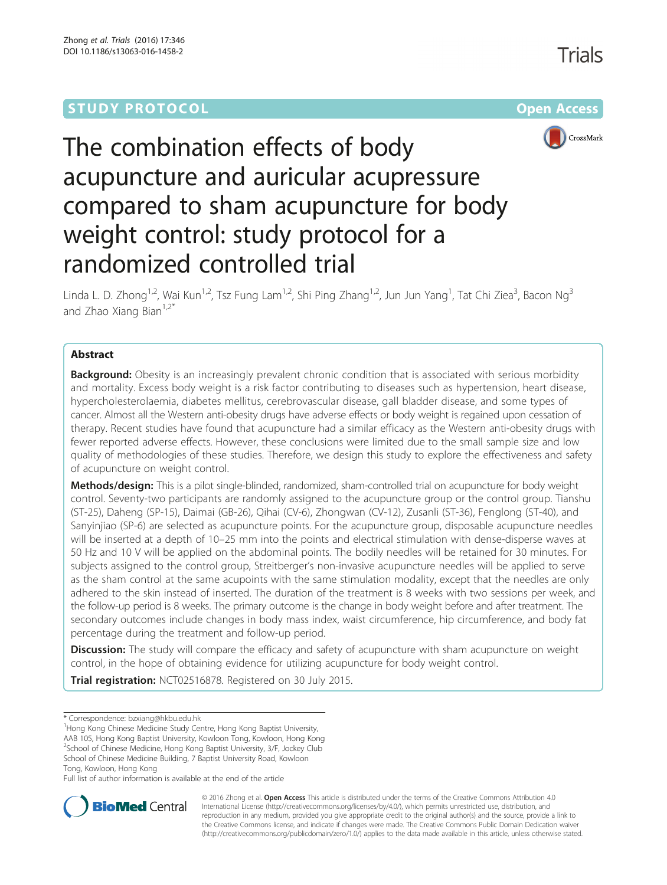# **STUDY PROTOCOL CONSUMING THE RESERVE ACCESS**



# The combination effects of body acupuncture and auricular acupressure compared to sham acupuncture for body weight control: study protocol for a randomized controlled trial

Linda L. D. Zhong<sup>1,2</sup>, Wai Kun<sup>1,2</sup>, Tsz Fung Lam<sup>1,2</sup>, Shi Ping Zhang<sup>1,2</sup>, Jun Jun Yang<sup>1</sup>, Tat Chi Ziea<sup>3</sup>, Bacon Ng<sup>3</sup> and Zhao Xiang Bian $1.2^*$ 

# Abstract

**Background:** Obesity is an increasingly prevalent chronic condition that is associated with serious morbidity and mortality. Excess body weight is a risk factor contributing to diseases such as hypertension, heart disease, hypercholesterolaemia, diabetes mellitus, cerebrovascular disease, gall bladder disease, and some types of cancer. Almost all the Western anti-obesity drugs have adverse effects or body weight is regained upon cessation of therapy. Recent studies have found that acupuncture had a similar efficacy as the Western anti-obesity drugs with fewer reported adverse effects. However, these conclusions were limited due to the small sample size and low quality of methodologies of these studies. Therefore, we design this study to explore the effectiveness and safety of acupuncture on weight control.

Methods/design: This is a pilot single-blinded, randomized, sham-controlled trial on acupuncture for body weight control. Seventy-two participants are randomly assigned to the acupuncture group or the control group. Tianshu (ST-25), Daheng (SP-15), Daimai (GB-26), Qihai (CV-6), Zhongwan (CV-12), Zusanli (ST-36), Fenglong (ST-40), and Sanyinjiao (SP-6) are selected as acupuncture points. For the acupuncture group, disposable acupuncture needles will be inserted at a depth of 10–25 mm into the points and electrical stimulation with dense-disperse waves at 50 Hz and 10 V will be applied on the abdominal points. The bodily needles will be retained for 30 minutes. For subjects assigned to the control group, Streitberger's non-invasive acupuncture needles will be applied to serve as the sham control at the same acupoints with the same stimulation modality, except that the needles are only adhered to the skin instead of inserted. The duration of the treatment is 8 weeks with two sessions per week, and the follow-up period is 8 weeks. The primary outcome is the change in body weight before and after treatment. The secondary outcomes include changes in body mass index, waist circumference, hip circumference, and body fat percentage during the treatment and follow-up period.

**Discussion:** The study will compare the efficacy and safety of acupuncture with sham acupuncture on weight control, in the hope of obtaining evidence for utilizing acupuncture for body weight control.

Trial registration: [NCT02516878](https://clinicaltrials.gov/ct2/show/NCT02516878). Registered on 30 July 2015.

\* Correspondence: [bzxiang@hkbu.edu.hk](mailto:bzxiang@hkbu.edu.hk) <sup>1</sup>

<sup>1</sup>Hong Kong Chinese Medicine Study Centre, Hong Kong Baptist University, AAB 105, Hong Kong Baptist University, Kowloon Tong, Kowloon, Hong Kong <sup>2</sup>School of Chinese Medicine, Hong Kong Baptist University, 3/F, Jockey Club

School of Chinese Medicine Building, 7 Baptist University Road, Kowloon Tong, Kowloon, Hong Kong

Full list of author information is available at the end of the article



© 2016 Zhong et al. Open Access This article is distributed under the terms of the Creative Commons Attribution 4.0 International License [\(http://creativecommons.org/licenses/by/4.0/](http://creativecommons.org/licenses/by/4.0/)), which permits unrestricted use, distribution, and reproduction in any medium, provided you give appropriate credit to the original author(s) and the source, provide a link to the Creative Commons license, and indicate if changes were made. The Creative Commons Public Domain Dedication waiver [\(http://creativecommons.org/publicdomain/zero/1.0/](http://creativecommons.org/publicdomain/zero/1.0/)) applies to the data made available in this article, unless otherwise stated.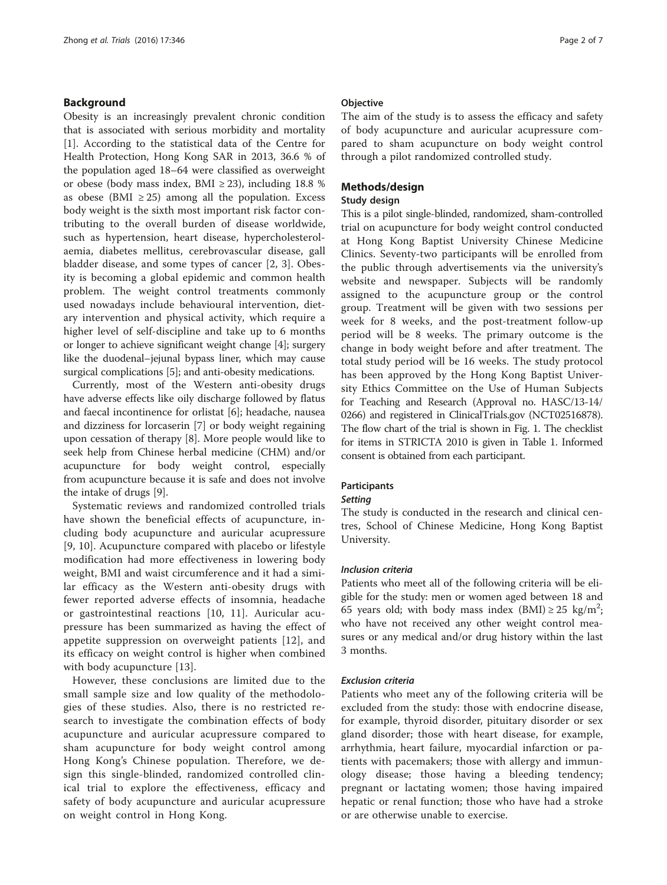# Background

Obesity is an increasingly prevalent chronic condition that is associated with serious morbidity and mortality [[1\]](#page-6-0). According to the statistical data of the Centre for Health Protection, Hong Kong SAR in 2013, 36.6 % of the population aged 18–64 were classified as overweight or obese (body mass index, BMI  $\geq$  23), including 18.8 % as obese (BMI  $\geq$  25) among all the population. Excess body weight is the sixth most important risk factor contributing to the overall burden of disease worldwide, such as hypertension, heart disease, hypercholesterolaemia, diabetes mellitus, cerebrovascular disease, gall bladder disease, and some types of cancer [[2, 3\]](#page-6-0). Obesity is becoming a global epidemic and common health problem. The weight control treatments commonly used nowadays include behavioural intervention, dietary intervention and physical activity, which require a higher level of self-discipline and take up to 6 months or longer to achieve significant weight change [\[4\]](#page-6-0); surgery like the duodenal–jejunal bypass liner, which may cause surgical complications [\[5](#page-6-0)]; and anti-obesity medications.

Currently, most of the Western anti-obesity drugs have adverse effects like oily discharge followed by flatus and faecal incontinence for orlistat [\[6](#page-6-0)]; headache, nausea and dizziness for lorcaserin [\[7\]](#page-6-0) or body weight regaining upon cessation of therapy [\[8](#page-6-0)]. More people would like to seek help from Chinese herbal medicine (CHM) and/or acupuncture for body weight control, especially from acupuncture because it is safe and does not involve the intake of drugs [\[9\]](#page-6-0).

Systematic reviews and randomized controlled trials have shown the beneficial effects of acupuncture, including body acupuncture and auricular acupressure [[9](#page-6-0), [10](#page-6-0)]. Acupuncture compared with placebo or lifestyle modification had more effectiveness in lowering body weight, BMI and waist circumference and it had a similar efficacy as the Western anti-obesity drugs with fewer reported adverse effects of insomnia, headache or gastrointestinal reactions [[10](#page-6-0), [11\]](#page-6-0). Auricular acupressure has been summarized as having the effect of appetite suppression on overweight patients [\[12](#page-6-0)], and its efficacy on weight control is higher when combined with body acupuncture [[13\]](#page-6-0).

However, these conclusions are limited due to the small sample size and low quality of the methodologies of these studies. Also, there is no restricted research to investigate the combination effects of body acupuncture and auricular acupressure compared to sham acupuncture for body weight control among Hong Kong's Chinese population. Therefore, we design this single-blinded, randomized controlled clinical trial to explore the effectiveness, efficacy and safety of body acupuncture and auricular acupressure on weight control in Hong Kong.

# **Objective**

The aim of the study is to assess the efficacy and safety of body acupuncture and auricular acupressure compared to sham acupuncture on body weight control through a pilot randomized controlled study.

# Methods/design

# Study design

This is a pilot single-blinded, randomized, sham-controlled trial on acupuncture for body weight control conducted at Hong Kong Baptist University Chinese Medicine Clinics. Seventy-two participants will be enrolled from the public through advertisements via the university's website and newspaper. Subjects will be randomly assigned to the acupuncture group or the control group. Treatment will be given with two sessions per week for 8 weeks, and the post-treatment follow-up period will be 8 weeks. The primary outcome is the change in body weight before and after treatment. The total study period will be 16 weeks. The study protocol has been approved by the Hong Kong Baptist University Ethics Committee on the Use of Human Subjects for Teaching and Research (Approval no. HASC/13-14/ 0266) and registered in ClinicalTrials.gov (NCT02516878). The flow chart of the trial is shown in Fig. [1.](#page-2-0) The checklist for items in STRICTA 2010 is given in Table [1](#page-3-0). Informed consent is obtained from each participant.

# Participants

# **Setting**

The study is conducted in the research and clinical centres, School of Chinese Medicine, Hong Kong Baptist University.

#### Inclusion criteria

Patients who meet all of the following criteria will be eligible for the study: men or women aged between 18 and 65 years old; with body mass index  $(BMI) \ge 25 \text{ kg/m}^2$ ; who have not received any other weight control measures or any medical and/or drug history within the last 3 months.

## Exclusion criteria

Patients who meet any of the following criteria will be excluded from the study: those with endocrine disease, for example, thyroid disorder, pituitary disorder or sex gland disorder; those with heart disease, for example, arrhythmia, heart failure, myocardial infarction or patients with pacemakers; those with allergy and immunology disease; those having a bleeding tendency; pregnant or lactating women; those having impaired hepatic or renal function; those who have had a stroke or are otherwise unable to exercise.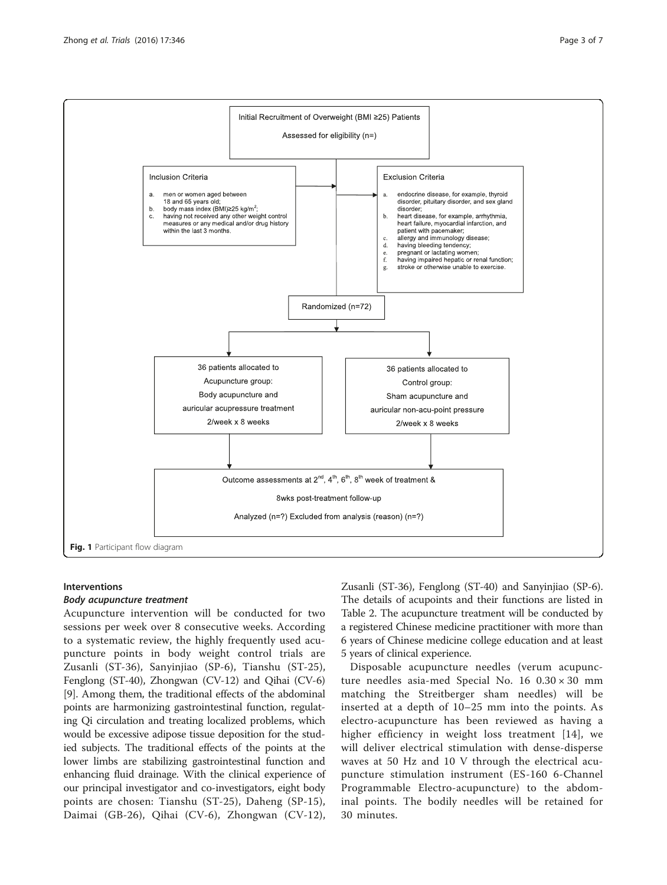<span id="page-2-0"></span>

#### Interventions

# Body acupuncture treatment

Acupuncture intervention will be conducted for two sessions per week over 8 consecutive weeks. According to a systematic review, the highly frequently used acupuncture points in body weight control trials are Zusanli (ST-36), Sanyinjiao (SP-6), Tianshu (ST-25), Fenglong (ST-40), Zhongwan (CV-12) and Qihai (CV-6) [[9\]](#page-6-0). Among them, the traditional effects of the abdominal points are harmonizing gastrointestinal function, regulating Qi circulation and treating localized problems, which would be excessive adipose tissue deposition for the studied subjects. The traditional effects of the points at the lower limbs are stabilizing gastrointestinal function and enhancing fluid drainage. With the clinical experience of our principal investigator and co-investigators, eight body points are chosen: Tianshu (ST-25), Daheng (SP-15), Daimai (GB-26), Qihai (CV-6), Zhongwan (CV-12), Zusanli (ST-36), Fenglong (ST-40) and Sanyinjiao (SP-6). The details of acupoints and their functions are listed in Table [2](#page-4-0). The acupuncture treatment will be conducted by a registered Chinese medicine practitioner with more than 6 years of Chinese medicine college education and at least 5 years of clinical experience.

Disposable acupuncture needles (verum acupuncture needles asia-med Special No.  $16$  0.30  $\times$  30 mm matching the Streitberger sham needles) will be inserted at a depth of 10–25 mm into the points. As electro-acupuncture has been reviewed as having a higher efficiency in weight loss treatment [\[14\]](#page-6-0), we will deliver electrical stimulation with dense-disperse waves at 50 Hz and 10 V through the electrical acupuncture stimulation instrument (ES-160 6-Channel Programmable Electro-acupuncture) to the abdominal points. The bodily needles will be retained for 30 minutes.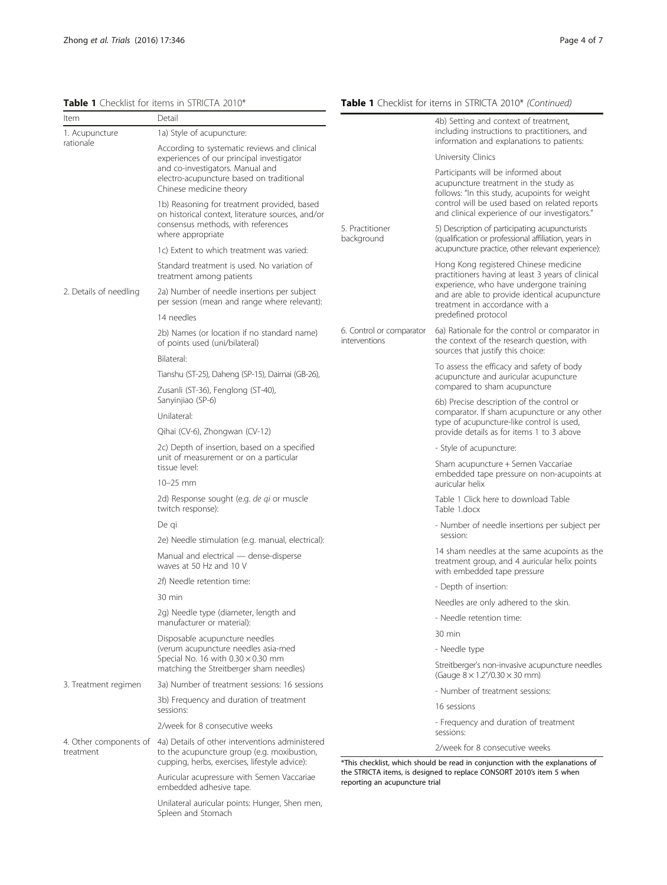# <span id="page-3-0"></span>Table 1 Checklist for items in STRICTA 2010\*

| Item                        | Detail                                                                                                                                                                                      |                                                                                                        | 4b) Setting and context of treatment,                                                                                                                                                                                                                                                                                                                                                  |
|-----------------------------|---------------------------------------------------------------------------------------------------------------------------------------------------------------------------------------------|--------------------------------------------------------------------------------------------------------|----------------------------------------------------------------------------------------------------------------------------------------------------------------------------------------------------------------------------------------------------------------------------------------------------------------------------------------------------------------------------------------|
| 1. Acupuncture<br>rationale | 1a) Style of acupuncture:                                                                                                                                                                   |                                                                                                        | including instructions to practitioners, and<br>information and explanations to patients:                                                                                                                                                                                                                                                                                              |
|                             | According to systematic reviews and clinical<br>experiences of our principal investigator                                                                                                   |                                                                                                        | University Clinics                                                                                                                                                                                                                                                                                                                                                                     |
|                             | and co-investigators. Manual and<br>electro-acupuncture based on traditional<br>Chinese medicine theory                                                                                     | 5. Practitioner<br>background                                                                          | Participants will be informed about<br>acupuncture treatment in the study as<br>follows: "In this study, acupoints for weight<br>control will be used based on related repo<br>and clinical experience of our investigators<br>5) Description of participating acupuncturists<br>(qualification or professional affiliation, years in<br>acupuncture practice, other relevant experien |
|                             | 1b) Reasoning for treatment provided, based<br>on historical context, literature sources, and/or<br>consensus methods, with references                                                      |                                                                                                        |                                                                                                                                                                                                                                                                                                                                                                                        |
|                             | where appropriate<br>1c) Extent to which treatment was varied:                                                                                                                              |                                                                                                        |                                                                                                                                                                                                                                                                                                                                                                                        |
|                             | Standard treatment is used. No variation of                                                                                                                                                 |                                                                                                        | Hong Kong registered Chinese medicine<br>practitioners having at least 3 years of clini<br>experience, who have undergone training<br>and are able to provide identical acupunct<br>treatment in accordance with a<br>predefined protocol                                                                                                                                              |
|                             | treatment among patients                                                                                                                                                                    |                                                                                                        |                                                                                                                                                                                                                                                                                                                                                                                        |
| 2. Details of needling      | 2a) Number of needle insertions per subject<br>per session (mean and range where relevant):                                                                                                 |                                                                                                        |                                                                                                                                                                                                                                                                                                                                                                                        |
|                             | 14 needles                                                                                                                                                                                  |                                                                                                        |                                                                                                                                                                                                                                                                                                                                                                                        |
|                             | 2b) Names (or location if no standard name)<br>of points used (uni/bilateral)                                                                                                               | 6. Control or comparator<br>interventions                                                              | 6a) Rationale for the control or comparator<br>the context of the research question, with<br>sources that justify this choice:                                                                                                                                                                                                                                                         |
|                             | Bilateral:                                                                                                                                                                                  |                                                                                                        | To assess the efficacy and safety of body<br>acupuncture and auricular acupuncture                                                                                                                                                                                                                                                                                                     |
|                             | Tianshu (ST-25), Daheng (SP-15), Daimai (GB-26),                                                                                                                                            |                                                                                                        |                                                                                                                                                                                                                                                                                                                                                                                        |
|                             | Zusanli (ST-36), Fenglong (ST-40),<br>Sanyinjiao (SP-6)                                                                                                                                     |                                                                                                        | compared to sham acupuncture<br>6b) Precise description of the control or<br>comparator. If sham acupuncture or any of<br>type of acupuncture-like control is used,<br>provide details as for items 1 to 3 above                                                                                                                                                                       |
|                             | Unilateral:                                                                                                                                                                                 |                                                                                                        |                                                                                                                                                                                                                                                                                                                                                                                        |
|                             | Qihai (CV-6), Zhongwan (CV-12)                                                                                                                                                              |                                                                                                        |                                                                                                                                                                                                                                                                                                                                                                                        |
|                             | 2c) Depth of insertion, based on a specified                                                                                                                                                |                                                                                                        | - Style of acupuncture:                                                                                                                                                                                                                                                                                                                                                                |
|                             | unit of measurement or on a particular<br>tissue level:                                                                                                                                     |                                                                                                        | Sham acupuncture + Semen Vaccariae<br>embedded tape pressure on non-acupoint                                                                                                                                                                                                                                                                                                           |
|                             | $10 - 25$ mm                                                                                                                                                                                |                                                                                                        | auricular helix                                                                                                                                                                                                                                                                                                                                                                        |
|                             | 2d) Response sought (e.g. de qi or muscle<br>twitch response):                                                                                                                              |                                                                                                        | Table 1 Click here to download Table<br>Table 1.docx                                                                                                                                                                                                                                                                                                                                   |
|                             | De gi                                                                                                                                                                                       |                                                                                                        | - Number of needle insertions per subject                                                                                                                                                                                                                                                                                                                                              |
|                             | 2e) Needle stimulation (e.g. manual, electrical):                                                                                                                                           |                                                                                                        | session:                                                                                                                                                                                                                                                                                                                                                                               |
|                             | Manual and electrical — dense-disperse<br>waves at 50 Hz and 10 V                                                                                                                           |                                                                                                        | 14 sham needles at the same acupoints as<br>treatment group, and 4 auricular helix poir<br>with embedded tape pressure                                                                                                                                                                                                                                                                 |
|                             | 2f) Needle retention time:                                                                                                                                                                  |                                                                                                        | - Depth of insertion:                                                                                                                                                                                                                                                                                                                                                                  |
|                             | 30 min                                                                                                                                                                                      |                                                                                                        | Needles are only adhered to the skin.                                                                                                                                                                                                                                                                                                                                                  |
|                             | 2g) Needle type (diameter, length and                                                                                                                                                       |                                                                                                        | - Needle retention time:                                                                                                                                                                                                                                                                                                                                                               |
|                             | manufacturer or material):<br>Disposable acupuncture needles<br>(verum acupuncture needles asia-med<br>Special No. 16 with $0.30 \times 0.30$ mm<br>matching the Streitberger sham needles) |                                                                                                        | 30 min                                                                                                                                                                                                                                                                                                                                                                                 |
|                             |                                                                                                                                                                                             |                                                                                                        | - Needle type                                                                                                                                                                                                                                                                                                                                                                          |
|                             |                                                                                                                                                                                             |                                                                                                        | Streitberger's non-invasive acupuncture need<br>(Gauge $8 \times 1.2''/0.30 \times 30$ mm)                                                                                                                                                                                                                                                                                             |
| 3. Treatment regimen        | 3a) Number of treatment sessions: 16 sessions                                                                                                                                               |                                                                                                        | - Number of treatment sessions:                                                                                                                                                                                                                                                                                                                                                        |
|                             | 3b) Frequency and duration of treatment<br>sessions:                                                                                                                                        |                                                                                                        | 16 sessions                                                                                                                                                                                                                                                                                                                                                                            |
|                             | 2/week for 8 consecutive weeks                                                                                                                                                              |                                                                                                        | - Frequency and duration of treatment                                                                                                                                                                                                                                                                                                                                                  |
| treatment                   | 4. Other components of 4a) Details of other interventions administered                                                                                                                      |                                                                                                        | sessions:                                                                                                                                                                                                                                                                                                                                                                              |
|                             | to the acupuncture group (e.g. moxibustion,<br>cupping, herbs, exercises, lifestyle advice):                                                                                                |                                                                                                        | 2/week for 8 consecutive weeks<br>*This checklist, which should be read in conjunction with the explanations                                                                                                                                                                                                                                                                           |
|                             | Auricular acupressure with Semen Vaccariae<br>embedded adhesive tape.                                                                                                                       | the STRICTA items, is designed to replace CONSORT 2010's item 5 when<br>reporting an acupuncture trial |                                                                                                                                                                                                                                                                                                                                                                                        |

Unilateral auricular points: Hunger, Shen men, Spleen and Stomach

# Table 1 Checklist for items in STRICTA 2010\* (Continued)

|                                                                               | acupuncture treatment in the study as<br>follows: "In this study, acupoints for weight<br>control will be used based on related reports<br>and clinical experience of our investigators."                                                       |  |  |  |
|-------------------------------------------------------------------------------|-------------------------------------------------------------------------------------------------------------------------------------------------------------------------------------------------------------------------------------------------|--|--|--|
| 5. Practitioner<br>background                                                 | 5) Description of participating acupuncturists<br>(qualification or professional affiliation, years in<br>acupuncture practice, other relevant experience):                                                                                     |  |  |  |
|                                                                               | Hong Kong registered Chinese medicine<br>practitioners having at least 3 years of clinical<br>experience, who have undergone training<br>and are able to provide identical acupuncture<br>treatment in accordance with a<br>predefined protocol |  |  |  |
| 6. Control or comparator<br>interventions                                     | 6a) Rationale for the control or comparator in<br>the context of the research question, with<br>sources that justify this choice:                                                                                                               |  |  |  |
|                                                                               | To assess the efficacy and safety of body<br>acupuncture and auricular acupuncture<br>compared to sham acupuncture                                                                                                                              |  |  |  |
|                                                                               | 6b) Precise description of the control or<br>comparator. If sham acupuncture or any other<br>type of acupuncture-like control is used,<br>provide details as for items 1 to 3 above                                                             |  |  |  |
|                                                                               | - Style of acupuncture:                                                                                                                                                                                                                         |  |  |  |
|                                                                               | Sham acupuncture + Semen Vaccariae<br>embedded tape pressure on non-acupoints at<br>auricular helix                                                                                                                                             |  |  |  |
|                                                                               | Table 1 Click here to download Table<br>Table 1.docx                                                                                                                                                                                            |  |  |  |
|                                                                               | - Number of needle insertions per subject per<br>session:                                                                                                                                                                                       |  |  |  |
|                                                                               | 14 sham needles at the same acupoints as the<br>treatment group, and 4 auricular helix points<br>with embedded tape pressure                                                                                                                    |  |  |  |
|                                                                               | - Depth of insertion:                                                                                                                                                                                                                           |  |  |  |
|                                                                               | Needles are only adhered to the skin.                                                                                                                                                                                                           |  |  |  |
|                                                                               | - Needle retention time:                                                                                                                                                                                                                        |  |  |  |
|                                                                               | $30 \text{ min}$                                                                                                                                                                                                                                |  |  |  |
|                                                                               | - Needle type                                                                                                                                                                                                                                   |  |  |  |
|                                                                               | Streitberger's non-invasive acupuncture needles<br>(Gauge 8 × 1.2"/0.30 × 30 mm)                                                                                                                                                                |  |  |  |
|                                                                               | - Number of treatment sessions:                                                                                                                                                                                                                 |  |  |  |
|                                                                               | 16 sessions                                                                                                                                                                                                                                     |  |  |  |
|                                                                               | - Frequency and duration of treatment<br>sessions:                                                                                                                                                                                              |  |  |  |
|                                                                               | 2/week for 8 consecutive weeks                                                                                                                                                                                                                  |  |  |  |
| *This checklist, which should be read in conjunction with the explanations of |                                                                                                                                                                                                                                                 |  |  |  |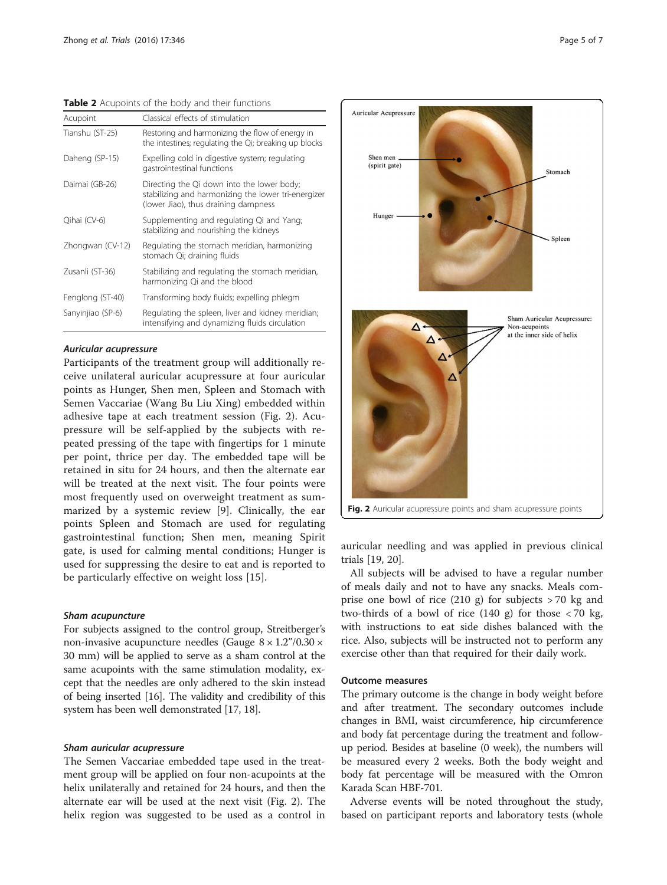<span id="page-4-0"></span>Table 2 Acupoints of the body and their functions

| Acupoint          | Classical effects of stimulation                                                                                                          |
|-------------------|-------------------------------------------------------------------------------------------------------------------------------------------|
| Tianshu (ST-25)   | Restoring and harmonizing the flow of energy in<br>the intestines; regulating the Qi; breaking up blocks                                  |
| Daheng (SP-15)    | Expelling cold in digestive system; regulating<br>gastrointestinal functions                                                              |
| Daimai (GB-26)    | Directing the Qi down into the lower body;<br>stabilizing and harmonizing the lower tri-energizer<br>(lower Jiao), thus draining dampness |
| Qihai (CV-6)      | Supplementing and regulating Qi and Yang;<br>stabilizing and nourishing the kidneys                                                       |
| Zhongwan (CV-12)  | Regulating the stomach meridian, harmonizing<br>stomach Qi; draining fluids                                                               |
| Zusanli (ST-36)   | Stabilizing and regulating the stomach meridian,<br>harmonizing Qi and the blood                                                          |
| Fenglong (ST-40)  | Transforming body fluids; expelling phlegm                                                                                                |
| Sanyinjiao (SP-6) | Regulating the spleen, liver and kidney meridian;<br>intensifying and dynamizing fluids circulation                                       |

#### Auricular acupressure

Participants of the treatment group will additionally receive unilateral auricular acupressure at four auricular points as Hunger, Shen men, Spleen and Stomach with Semen Vaccariae (Wang Bu Liu Xing) embedded within adhesive tape at each treatment session (Fig. 2). Acupressure will be self-applied by the subjects with repeated pressing of the tape with fingertips for 1 minute per point, thrice per day. The embedded tape will be retained in situ for 24 hours, and then the alternate ear will be treated at the next visit. The four points were most frequently used on overweight treatment as summarized by a systemic review [[9\]](#page-6-0). Clinically, the ear points Spleen and Stomach are used for regulating gastrointestinal function; Shen men, meaning Spirit gate, is used for calming mental conditions; Hunger is used for suppressing the desire to eat and is reported to be particularly effective on weight loss [[15](#page-6-0)].

# Sham acupuncture

For subjects assigned to the control group, Streitberger's non-invasive acupuncture needles (Gauge  $8 \times 1.2$ "/0.30  $\times$ 30 mm) will be applied to serve as a sham control at the same acupoints with the same stimulation modality, except that the needles are only adhered to the skin instead of being inserted [\[16](#page-6-0)]. The validity and credibility of this system has been well demonstrated [[17](#page-6-0), [18\]](#page-6-0).

# Sham auricular acupressure

The Semen Vaccariae embedded tape used in the treatment group will be applied on four non-acupoints at the helix unilaterally and retained for 24 hours, and then the alternate ear will be used at the next visit (Fig. 2). The helix region was suggested to be used as a control in



auricular needling and was applied in previous clinical trials [[19, 20\]](#page-6-0).

All subjects will be advised to have a regular number of meals daily and not to have any snacks. Meals comprise one bowl of rice  $(210 \text{ g})$  for subjects  $> 70$  kg and two-thirds of a bowl of rice  $(140 \text{ g})$  for those  $\lt 70$  kg, with instructions to eat side dishes balanced with the rice. Also, subjects will be instructed not to perform any exercise other than that required for their daily work.

#### Outcome measures

The primary outcome is the change in body weight before and after treatment. The secondary outcomes include changes in BMI, waist circumference, hip circumference and body fat percentage during the treatment and followup period. Besides at baseline (0 week), the numbers will be measured every 2 weeks. Both the body weight and body fat percentage will be measured with the Omron Karada Scan HBF-701.

Adverse events will be noted throughout the study, based on participant reports and laboratory tests (whole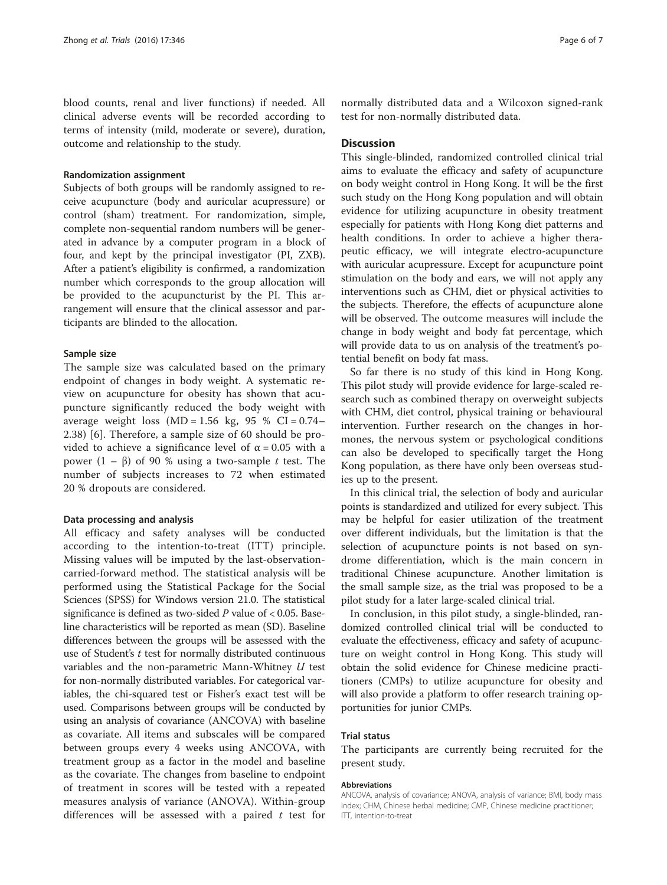blood counts, renal and liver functions) if needed. All clinical adverse events will be recorded according to terms of intensity (mild, moderate or severe), duration, outcome and relationship to the study.

#### Randomization assignment

Subjects of both groups will be randomly assigned to receive acupuncture (body and auricular acupressure) or control (sham) treatment. For randomization, simple, complete non-sequential random numbers will be generated in advance by a computer program in a block of four, and kept by the principal investigator (PI, ZXB). After a patient's eligibility is confirmed, a randomization number which corresponds to the group allocation will be provided to the acupuncturist by the PI. This arrangement will ensure that the clinical assessor and participants are blinded to the allocation.

# Sample size

The sample size was calculated based on the primary endpoint of changes in body weight. A systematic review on acupuncture for obesity has shown that acupuncture significantly reduced the body weight with average weight loss  $(MD = 1.56$  kg, 95 % CI = 0.74– 2.38) [[6\]](#page-6-0). Therefore, a sample size of 60 should be provided to achieve a significance level of  $\alpha$  = 0.05 with a power  $(1 – β)$  of 90 % using a two-sample t test. The number of subjects increases to 72 when estimated 20 % dropouts are considered.

# Data processing and analysis

All efficacy and safety analyses will be conducted according to the intention-to-treat (ITT) principle. Missing values will be imputed by the last-observationcarried-forward method. The statistical analysis will be performed using the Statistical Package for the Social Sciences (SPSS) for Windows version 21.0. The statistical significance is defined as two-sided  $P$  value of < 0.05. Baseline characteristics will be reported as mean (SD). Baseline differences between the groups will be assessed with the use of Student's  $t$  test for normally distributed continuous variables and the non-parametric Mann-Whitney  $U$  test for non-normally distributed variables. For categorical variables, the chi-squared test or Fisher's exact test will be used. Comparisons between groups will be conducted by using an analysis of covariance (ANCOVA) with baseline as covariate. All items and subscales will be compared between groups every 4 weeks using ANCOVA, with treatment group as a factor in the model and baseline as the covariate. The changes from baseline to endpoint of treatment in scores will be tested with a repeated measures analysis of variance (ANOVA). Within-group differences will be assessed with a paired  $t$  test for

normally distributed data and a Wilcoxon signed-rank test for non-normally distributed data.

# **Discussion**

This single-blinded, randomized controlled clinical trial aims to evaluate the efficacy and safety of acupuncture on body weight control in Hong Kong. It will be the first such study on the Hong Kong population and will obtain evidence for utilizing acupuncture in obesity treatment especially for patients with Hong Kong diet patterns and health conditions. In order to achieve a higher therapeutic efficacy, we will integrate electro-acupuncture with auricular acupressure. Except for acupuncture point stimulation on the body and ears, we will not apply any interventions such as CHM, diet or physical activities to the subjects. Therefore, the effects of acupuncture alone will be observed. The outcome measures will include the change in body weight and body fat percentage, which will provide data to us on analysis of the treatment's potential benefit on body fat mass.

So far there is no study of this kind in Hong Kong. This pilot study will provide evidence for large-scaled research such as combined therapy on overweight subjects with CHM, diet control, physical training or behavioural intervention. Further research on the changes in hormones, the nervous system or psychological conditions can also be developed to specifically target the Hong Kong population, as there have only been overseas studies up to the present.

In this clinical trial, the selection of body and auricular points is standardized and utilized for every subject. This may be helpful for easier utilization of the treatment over different individuals, but the limitation is that the selection of acupuncture points is not based on syndrome differentiation, which is the main concern in traditional Chinese acupuncture. Another limitation is the small sample size, as the trial was proposed to be a pilot study for a later large-scaled clinical trial.

In conclusion, in this pilot study, a single-blinded, randomized controlled clinical trial will be conducted to evaluate the effectiveness, efficacy and safety of acupuncture on weight control in Hong Kong. This study will obtain the solid evidence for Chinese medicine practitioners (CMPs) to utilize acupuncture for obesity and will also provide a platform to offer research training opportunities for junior CMPs.

# Trial status

The participants are currently being recruited for the present study.

#### Abbreviations

ANCOVA, analysis of covariance; ANOVA, analysis of variance; BMI, body mass index; CHM, Chinese herbal medicine; CMP, Chinese medicine practitioner; ITT, intention-to-treat